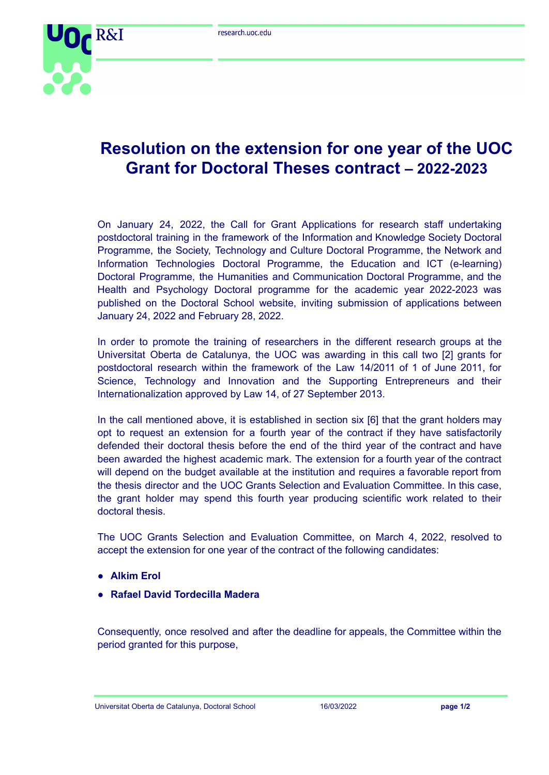

## **Resolution on the extension for one year of the UOC Grant for Doctoral Theses contract – 2022-2023**

On January 24, 2022, the Call for Grant Applications for research staff undertaking postdoctoral training in the framework of the Information and Knowledge Society Doctoral Programme, the Society, Technology and Culture Doctoral Programme, the Network and Information Technologies Doctoral Programme, the Education and ICT (e-learning) Doctoral Programme, the Humanities and Communication Doctoral Programme, and the Health and Psychology Doctoral programme for the academic year 2022-2023 was published on the Doctoral School website, inviting submission of applications between January 24, 2022 and February 28, 2022.

In order to promote the training of researchers in the different research groups at the Universitat Oberta de Catalunya, the UOC was awarding in this call two [2] grants for postdoctoral research within the framework of the Law 14/2011 of 1 of June 2011, for Science, Technology and Innovation and the Supporting Entrepreneurs and their Internationalization approved by Law 14, of 27 September 2013.

In the call mentioned above, it is established in section six [6] that the grant holders may opt to request an extension for a fourth year of the contract if they have satisfactorily defended their doctoral thesis before the end of the third year of the contract and have been awarded the highest academic mark. The extension for a fourth year of the contract will depend on the budget available at the institution and requires a favorable report from the thesis director and the UOC Grants Selection and Evaluation Committee. In this case, the grant holder may spend this fourth year producing scientific work related to their doctoral thesis.

The UOC Grants Selection and Evaluation Committee, on March 4, 2022, resolved to accept the extension for one year of the contract of the following candidates:

- **● Alkim Erol**
- **● Rafael David Tordecilla Madera**

Consequently, once resolved and after the deadline for appeals, the Committee within the period granted for this purpose,